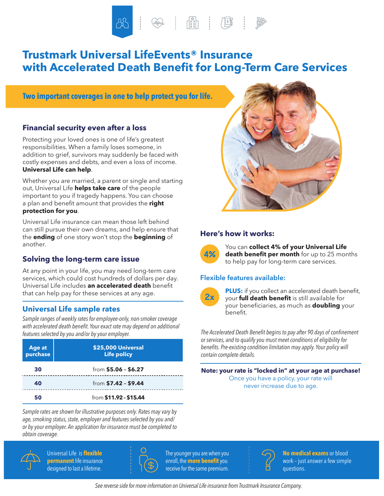$\begin{tabular}{|c|c|c|c|c|} \hline & $\circ$ & $\circ$ \\ \hline & $\circ$ & $\circ$ & $\circ$ \\ \hline & $\circ$ & $\circ$ & $\circ$ \\ \hline & $\circ$ & $\circ$ & $\circ$ \\ \hline & $\circ$ & $\circ$ & $\circ$ \\ \hline \end{tabular}$ 

# **Trustmark Universal LifeEvents® Insurance with Accelerated Death Benefit for Long-Term Care Services**

**Two important coverages in one to help protect you for life.**

#### **Financial security even after a loss**

Protecting your loved ones is one of life's greatest responsibilities. When a family loses someone, in addition to grief, survivors may suddenly be faced with costly expenses and debts, and even a loss of income. **Universal Life can help**.

Whether you are married, a parent or single and starting out, Universal Life **helps take care** of the people important to you if tragedy happens. You can choose a plan and benefit amount that provides the **right protection for you**.

Universal Life insurance can mean those left behind can still pursue their own dreams, and help ensure that the **ending** of one story won't stop the **beginning** of another.

### **Solving the long-term care issue**

At any point in your life, you may need long-term care services, which could cost hundreds of dollars per day. Universal Life includes **an accelerated death** benefit that can help pay for these services at any age.

### **Universal Life sample rates**

*Sample ranges of weekly rates for employee-only, non-smoker coverage with accelerated death benefit. Your exact rate may depend on additional features selected by you and/or by your employer.*

| Age at<br>purchase | \$25,000 Universal<br><b>Life policy</b> |  |  |
|--------------------|------------------------------------------|--|--|
| 30                 | from \$5.06 - \$6.27                     |  |  |
| 40                 | from \$7.42 - \$9.44                     |  |  |
| 50                 | from \$11.92 - \$15.44                   |  |  |

*Sample rates are shown for illustrative purposes only. Rates may vary by age, smoking status, state, employer and features selected by you and/ or by your employer. An application for insurance must be completed to obtain coverage.*



 Universal Life is **flexible permanent** life insurance designed to last a lifetime.



 The younger you are when you enroll, the **more benefit**you receive for the same premium.



#### **Here's how it works:**



You can **collect 4% of your Universal Life death benefit per month** for up to 25 months to help pay for long-term care services.

#### **Flexible features available:**



**PLUS:** if you collect an accelerated death benefit, your **full death benefit** is still available for your beneficiaries, as much as **doubling** your benefit.

*The Accelerated Death Benefit begins to pay after 90 days of confinement or services, and to qualify you must meet conditions of eligibility for benefits. Pre-existing condition limitation may apply. Your policy will contain complete details.*

**Note: your rate is "locked in" at your age at purchase!** Once you have a policy, your rate will never increase due to age.



**No medical exams** or blood work – just answer a few simple questions.

*See reverse side for more information on Universal Life insurance from Trustmark Insurance Company.*